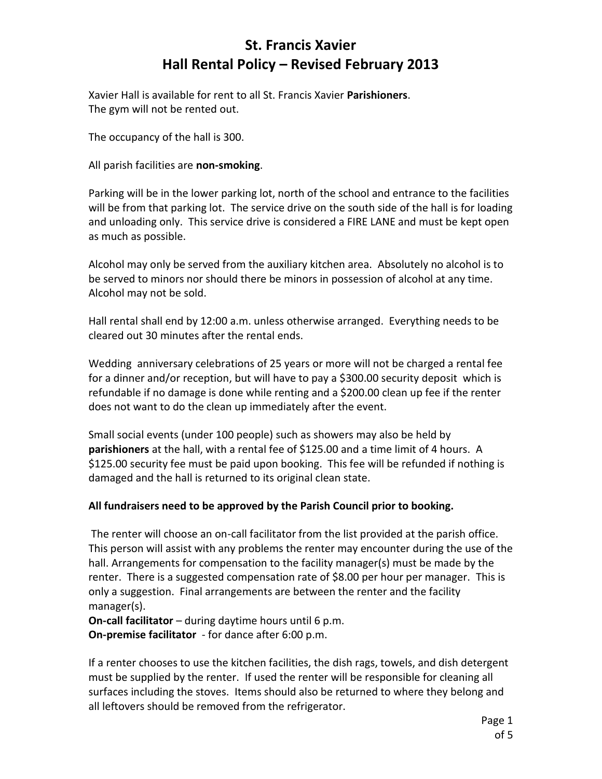## **St. Francis Xavier Hall Rental Policy – Revised February 2013**

Xavier Hall is available for rent to all St. Francis Xavier **Parishioners**. The gym will not be rented out.

The occupancy of the hall is 300.

All parish facilities are **non-smoking**.

Parking will be in the lower parking lot, north of the school and entrance to the facilities will be from that parking lot. The service drive on the south side of the hall is for loading and unloading only. This service drive is considered a FIRE LANE and must be kept open as much as possible.

Alcohol may only be served from the auxiliary kitchen area. Absolutely no alcohol is to be served to minors nor should there be minors in possession of alcohol at any time. Alcohol may not be sold.

Hall rental shall end by 12:00 a.m. unless otherwise arranged. Everything needs to be cleared out 30 minutes after the rental ends.

Wedding anniversary celebrations of 25 years or more will not be charged a rental fee for a dinner and/or reception, but will have to pay a \$300.00 security deposit which is refundable if no damage is done while renting and a \$200.00 clean up fee if the renter does not want to do the clean up immediately after the event.

Small social events (under 100 people) such as showers may also be held by **parishioners** at the hall, with a rental fee of \$125.00 and a time limit of 4 hours. A \$125.00 security fee must be paid upon booking. This fee will be refunded if nothing is damaged and the hall is returned to its original clean state.

### **All fundraisers need to be approved by the Parish Council prior to booking.**

The renter will choose an on-call facilitator from the list provided at the parish office. This person will assist with any problems the renter may encounter during the use of the hall. Arrangements for compensation to the facility manager(s) must be made by the renter. There is a suggested compensation rate of \$8.00 per hour per manager. This is only a suggestion. Final arrangements are between the renter and the facility manager(s).

**On-call facilitator** – during daytime hours until 6 p.m.

**On-premise facilitator** - for dance after 6:00 p.m.

If a renter chooses to use the kitchen facilities, the dish rags, towels, and dish detergent must be supplied by the renter. If used the renter will be responsible for cleaning all surfaces including the stoves. Items should also be returned to where they belong and all leftovers should be removed from the refrigerator.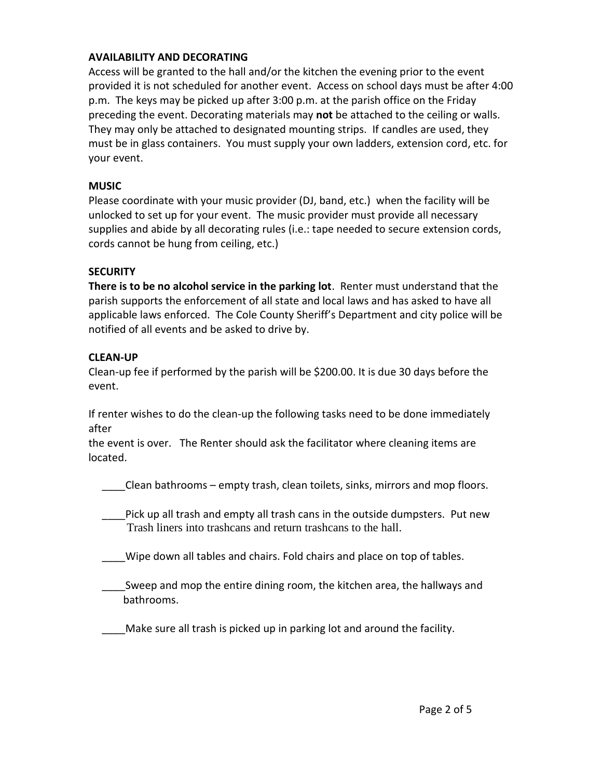#### **AVAILABILITY AND DECORATING**

Access will be granted to the hall and/or the kitchen the evening prior to the event provided it is not scheduled for another event. Access on school days must be after 4:00 p.m. The keys may be picked up after 3:00 p.m. at the parish office on the Friday preceding the event. Decorating materials may **not** be attached to the ceiling or walls. They may only be attached to designated mounting strips. If candles are used, they must be in glass containers. You must supply your own ladders, extension cord, etc. for your event.

#### **MUSIC**

Please coordinate with your music provider (DJ, band, etc.) when the facility will be unlocked to set up for your event. The music provider must provide all necessary supplies and abide by all decorating rules (i.e.: tape needed to secure extension cords, cords cannot be hung from ceiling, etc.)

#### **SECURITY**

**There is to be no alcohol service in the parking lot**. Renter must understand that the parish supports the enforcement of all state and local laws and has asked to have all applicable laws enforced. The Cole County Sheriff's Department and city police will be notified of all events and be asked to drive by.

#### **CLEAN-UP**

Clean-up fee if performed by the parish will be \$200.00. It is due 30 days before the event.

If renter wishes to do the clean-up the following tasks need to be done immediately after

the event is over. The Renter should ask the facilitator where cleaning items are located.

\_\_\_\_Clean bathrooms – empty trash, clean toilets, sinks, mirrors and mop floors.

Pick up all trash and empty all trash cans in the outside dumpsters. Put new Trash liners into trashcans and return trashcans to the hall.

\_\_\_\_Wipe down all tables and chairs. Fold chairs and place on top of tables.

Sweep and mop the entire dining room, the kitchen area, the hallways and bathrooms.

Make sure all trash is picked up in parking lot and around the facility.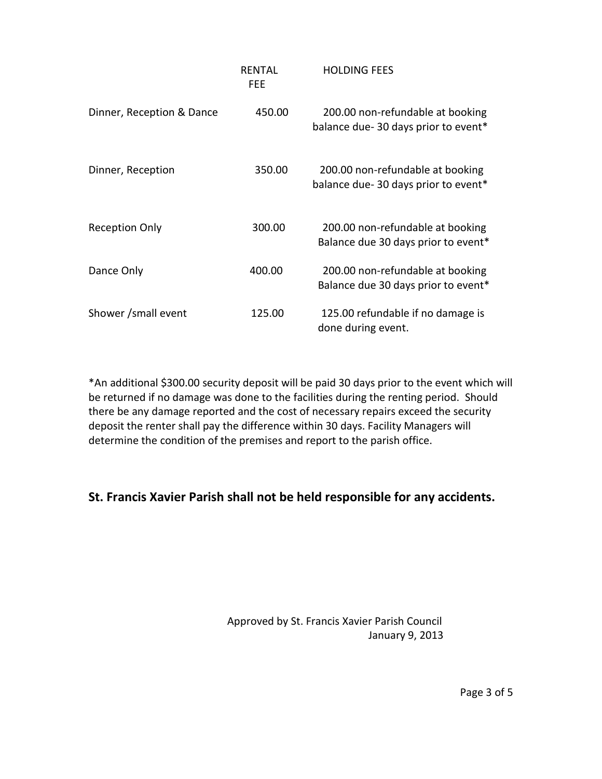|                           | RENTAL<br>FEE | <b>HOLDING FEES</b>                                                     |
|---------------------------|---------------|-------------------------------------------------------------------------|
| Dinner, Reception & Dance | 450.00        | 200.00 non-refundable at booking<br>balance due-30 days prior to event* |
| Dinner, Reception         | 350.00        | 200.00 non-refundable at booking<br>balance due-30 days prior to event* |
| <b>Reception Only</b>     | 300.00        | 200.00 non-refundable at booking<br>Balance due 30 days prior to event* |
| Dance Only                | 400.00        | 200.00 non-refundable at booking<br>Balance due 30 days prior to event* |
| Shower /small event       | 125.00        | 125.00 refundable if no damage is<br>done during event.                 |

\*An additional \$300.00 security deposit will be paid 30 days prior to the event which will be returned if no damage was done to the facilities during the renting period. Should there be any damage reported and the cost of necessary repairs exceed the security deposit the renter shall pay the difference within 30 days. Facility Managers will determine the condition of the premises and report to the parish office.

### **St. Francis Xavier Parish shall not be held responsible for any accidents.**

 Approved by St. Francis Xavier Parish Council January 9, 2013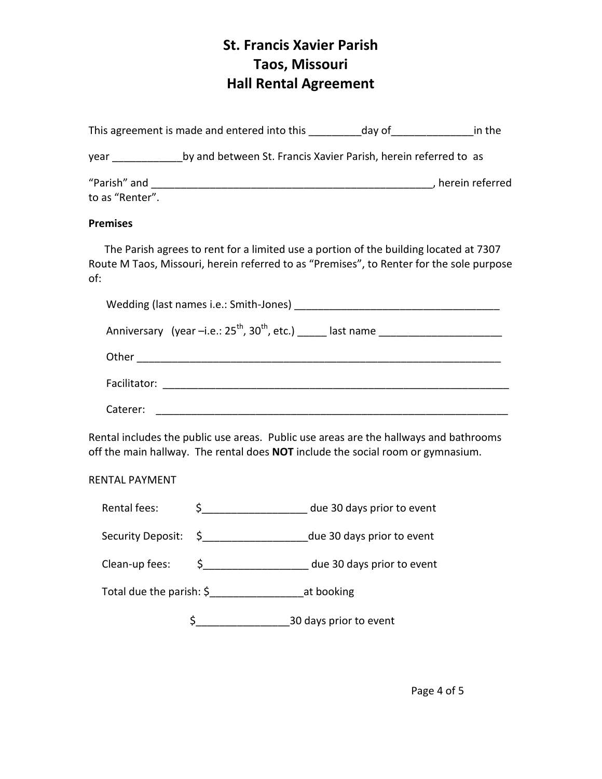# **St. Francis Xavier Parish Taos, Missouri Hall Rental Agreement**

|                                                                                                                                                                          |                                                          | This agreement is made and entered into this __________ day of __________________ in the                                                                                          |  |  |
|--------------------------------------------------------------------------------------------------------------------------------------------------------------------------|----------------------------------------------------------|-----------------------------------------------------------------------------------------------------------------------------------------------------------------------------------|--|--|
|                                                                                                                                                                          |                                                          | year by and between St. Francis Xavier Parish, herein referred to as                                                                                                              |  |  |
| to as "Renter".                                                                                                                                                          |                                                          |                                                                                                                                                                                   |  |  |
| <b>Premises</b>                                                                                                                                                          |                                                          |                                                                                                                                                                                   |  |  |
| of:                                                                                                                                                                      |                                                          | The Parish agrees to rent for a limited use a portion of the building located at 7307<br>Route M Taos, Missouri, herein referred to as "Premises", to Renter for the sole purpose |  |  |
|                                                                                                                                                                          |                                                          |                                                                                                                                                                                   |  |  |
|                                                                                                                                                                          |                                                          |                                                                                                                                                                                   |  |  |
|                                                                                                                                                                          |                                                          |                                                                                                                                                                                   |  |  |
|                                                                                                                                                                          |                                                          |                                                                                                                                                                                   |  |  |
| Caterer:                                                                                                                                                                 |                                                          |                                                                                                                                                                                   |  |  |
| Rental includes the public use areas. Public use areas are the hallways and bathrooms<br>off the main hallway. The rental does NOT include the social room or gymnasium. |                                                          |                                                                                                                                                                                   |  |  |
| <b>RENTAL PAYMENT</b>                                                                                                                                                    |                                                          |                                                                                                                                                                                   |  |  |
| Rental fees:                                                                                                                                                             |                                                          | \$______________________ due 30 days prior to event                                                                                                                               |  |  |
| Security Deposit:                                                                                                                                                        |                                                          | \$ ________________________due 30 days prior to event                                                                                                                             |  |  |
| Clean-up fees:                                                                                                                                                           |                                                          | \$ _____________________ due 30 days prior to event                                                                                                                               |  |  |
|                                                                                                                                                                          | Total due the parish: \$______________________at booking |                                                                                                                                                                                   |  |  |

\$\_\_\_\_\_\_\_\_\_\_\_\_\_\_\_\_30 days prior to event